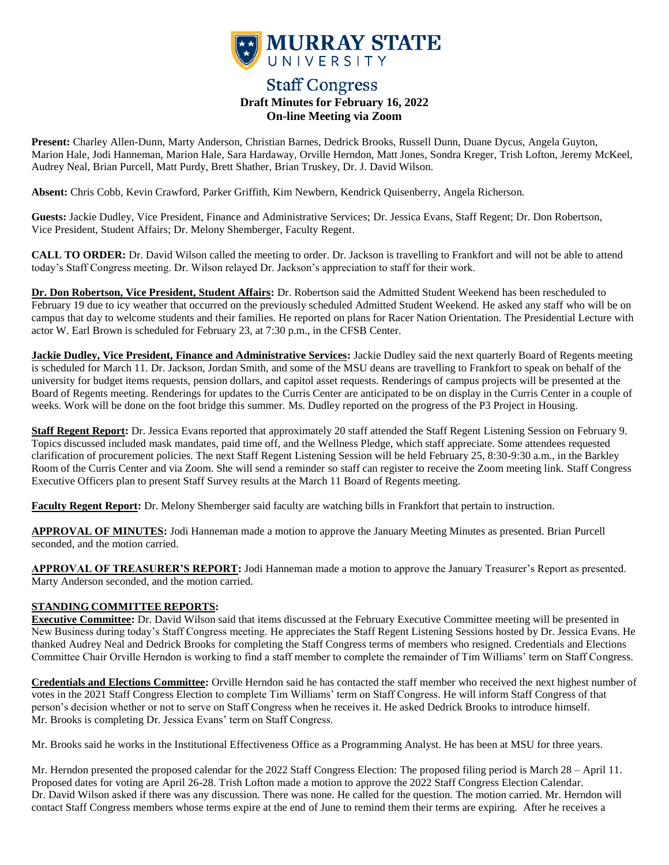

# **Staff Congress Draft Minutes for February 16, 2022 On-line Meeting via Zoom**

**Present:** Charley Allen-Dunn, Marty Anderson, Christian Barnes, Dedrick Brooks, Russell Dunn, Duane Dycus, Angela Guyton, Marion Hale, Jodi Hanneman, Marion Hale, Sara Hardaway, Orville Herndon, Matt Jones, Sondra Kreger, Trish Lofton, Jeremy McKeel, Audrey Neal, Brian Purcell, Matt Purdy, Brett Shather, Brian Truskey, Dr. J. David Wilson.

**Absent:** Chris Cobb, Kevin Crawford, Parker Griffith, Kim Newbern, Kendrick Quisenberry, Angela Richerson.

**Guests:** Jackie Dudley, Vice President, Finance and Administrative Services; Dr. Jessica Evans, Staff Regent; Dr. Don Robertson, Vice President, Student Affairs; Dr. Melony Shemberger, Faculty Regent.

**CALL TO ORDER:** Dr. David Wilson called the meeting to order. Dr. Jackson is travelling to Frankfort and will not be able to attend today's Staff Congress meeting. Dr. Wilson relayed Dr. Jackson's appreciation to staff for their work.

**Dr. Don Robertson, Vice President, Student Affairs:** Dr. Robertson said the Admitted Student Weekend has been rescheduled to February 19 due to icy weather that occurred on the previously scheduled Admitted Student Weekend. He asked any staff who will be on campus that day to welcome students and their families. He reported on plans for Racer Nation Orientation. The Presidential Lecture with actor W. Earl Brown is scheduled for February 23, at 7:30 p.m., in the CFSB Center.

**Jackie Dudley, Vice President, Finance and Administrative Services:** Jackie Dudley said the next quarterly Board of Regents meeting is scheduled for March 11. Dr. Jackson, Jordan Smith, and some of the MSU deans are travelling to Frankfort to speak on behalf of the university for budget items requests, pension dollars, and capitol asset requests. Renderings of campus projects will be presented at the Board of Regents meeting. Renderings for updates to the Curris Center are anticipated to be on display in the Curris Center in a couple of weeks. Work will be done on the foot bridge this summer. Ms. Dudley reported on the progress of the P3 Project in Housing.

**Staff Regent Report:** Dr. Jessica Evans reported that approximately 20 staff attended the Staff Regent Listening Session on February 9. Topics discussed included mask mandates, paid time off, and the Wellness Pledge, which staff appreciate. Some attendees requested clarification of procurement policies. The next Staff Regent Listening Session will be held February 25, 8:30-9:30 a.m., in the Barkley Room of the Curris Center and via Zoom. She will send a reminder so staff can register to receive the Zoom meeting link. Staff Congress Executive Officers plan to present Staff Survey results at the March 11 Board of Regents meeting.

**Faculty Regent Report:** Dr. Melony Shemberger said faculty are watching bills in Frankfort that pertain to instruction.

**APPROVAL OF MINUTES:** Jodi Hanneman made a motion to approve the January Meeting Minutes as presented. Brian Purcell seconded, and the motion carried.

**APPROVAL OF TREASURER'S REPORT:** Jodi Hanneman made a motion to approve the January Treasurer's Report as presented. Marty Anderson seconded, and the motion carried.

## **STANDING COMMITTEE REPORTS:**

**Executive Committee:** Dr. David Wilson said that items discussed at the February Executive Committee meeting will be presented in New Business during today's Staff Congress meeting. He appreciates the Staff Regent Listening Sessions hosted by Dr. Jessica Evans. He thanked Audrey Neal and Dedrick Brooks for completing the Staff Congress terms of members who resigned. Credentials and Elections Committee Chair Orville Herndon is working to find a staff member to complete the remainder of Tim Williams' term on Staff Congress.

**Credentials and Elections Committee:** Orville Herndon said he has contacted the staff member who received the next highest number of votes in the 2021 Staff Congress Election to complete Tim Williams' term on Staff Congress. He will inform Staff Congress of that person's decision whether or not to serve on Staff Congress when he receives it. He asked Dedrick Brooks to introduce himself. Mr. Brooks is completing Dr. Jessica Evans' term on Staff Congress.

Mr. Brooks said he works in the Institutional Effectiveness Office as a Programming Analyst. He has been at MSU for three years.

Mr. Herndon presented the proposed calendar for the 2022 Staff Congress Election: The proposed filing period is March 28 – April 11. Proposed dates for voting are April 26-28. Trish Lofton made a motion to approve the 2022 Staff Congress Election Calendar. Dr. David Wilson asked if there was any discussion. There was none. He called for the question. The motion carried. Mr. Herndon will contact Staff Congress members whose terms expire at the end of June to remind them their terms are expiring. After he receives a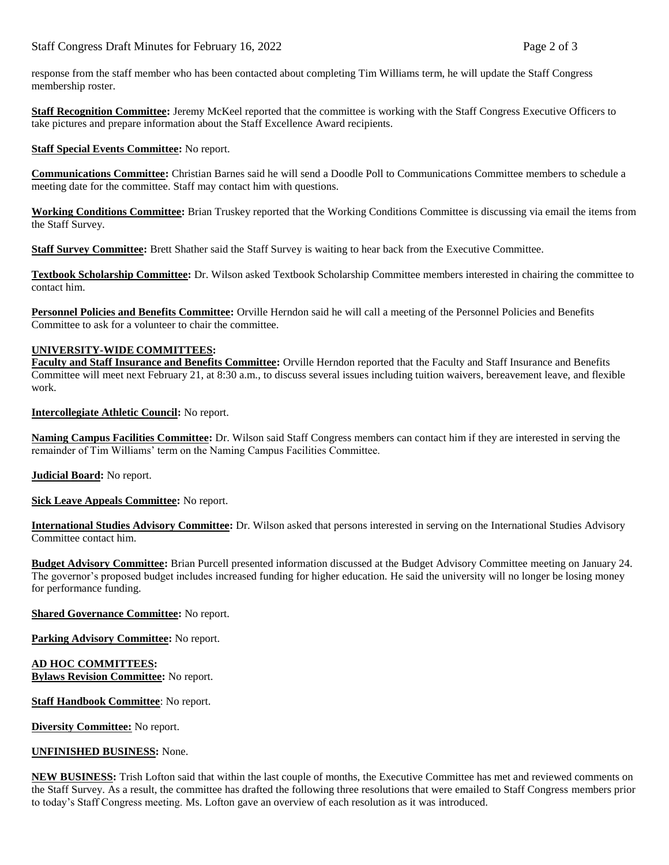response from the staff member who has been contacted about completing Tim Williams term, he will update the Staff Congress membership roster.

**Staff Recognition Committee:** Jeremy McKeel reported that the committee is working with the Staff Congress Executive Officers to take pictures and prepare information about the Staff Excellence Award recipients.

## **Staff Special Events Committee:** No report.

**Communications Committee:** Christian Barnes said he will send a Doodle Poll to Communications Committee members to schedule a meeting date for the committee. Staff may contact him with questions.

**Working Conditions Committee:** Brian Truskey reported that the Working Conditions Committee is discussing via email the items from the Staff Survey.

**Staff Survey Committee:** Brett Shather said the Staff Survey is waiting to hear back from the Executive Committee.

**Textbook Scholarship Committee:** Dr. Wilson asked Textbook Scholarship Committee members interested in chairing the committee to contact him.

**Personnel Policies and Benefits Committee:** Orville Herndon said he will call a meeting of the Personnel Policies and Benefits Committee to ask for a volunteer to chair the committee.

## **UNIVERSITY-WIDE COMMITTEES:**

**Faculty and Staff Insurance and Benefits Committee:** Orville Herndon reported that the Faculty and Staff Insurance and Benefits Committee will meet next February 21, at 8:30 a.m., to discuss several issues including tuition waivers, bereavement leave, and flexible work.

**Intercollegiate Athletic Council:** No report.

**Naming Campus Facilities Committee:** Dr. Wilson said Staff Congress members can contact him if they are interested in serving the remainder of Tim Williams' term on the Naming Campus Facilities Committee.

**Judicial Board:** No report.

**Sick Leave Appeals Committee:** No report.

**International Studies Advisory Committee:** Dr. Wilson asked that persons interested in serving on the International Studies Advisory Committee contact him.

**Budget Advisory Committee:** Brian Purcell presented information discussed at the Budget Advisory Committee meeting on January 24. The governor's proposed budget includes increased funding for higher education. He said the university will no longer be losing money for performance funding.

**Shared Governance Committee:** No report.

**Parking Advisory Committee:** No report.

**AD HOC COMMITTEES: Bylaws Revision Committee:** No report.

**Staff Handbook Committee**: No report.

**Diversity Committee:** No report.

## **UNFINISHED BUSINESS:** None.

**NEW BUSINESS:** Trish Lofton said that within the last couple of months, the Executive Committee has met and reviewed comments on the Staff Survey. As a result, the committee has drafted the following three resolutions that were emailed to Staff Congress members prior to today's Staff Congress meeting. Ms. Lofton gave an overview of each resolution as it was introduced.